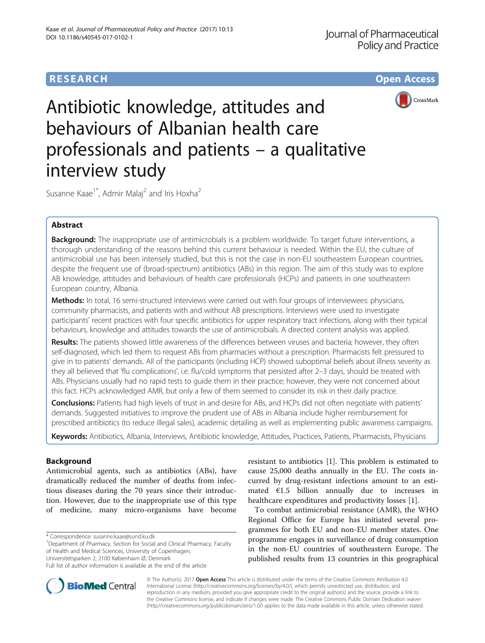## **RESEARCH CHE Open Access**



Antibiotic knowledge, attitudes and behaviours of Albanian health care professionals and patients – a qualitative interview study

Susanne Kaae<sup>1\*</sup>, Admir Malaj<sup>2</sup> and Iris Hoxha<sup>2</sup>

## Abstract

Background: The inappropriate use of antimicrobials is a problem worldwide. To target future interventions, a thorough understanding of the reasons behind this current behaviour is needed. Within the EU, the culture of antimicrobial use has been intensely studied, but this is not the case in non-EU southeastern European countries, despite the frequent use of (broad-spectrum) antibiotics (ABs) in this region. The aim of this study was to explore AB knowledge, attitudes and behaviours of health care professionals (HCPs) and patients in one southeastern European country, Albania.

Methods: In total, 16 semi-structured interviews were carried out with four groups of interviewees: physicians, community pharmacists, and patients with and without AB prescriptions. Interviews were used to investigate participants' recent practices with four specific antibiotics for upper respiratory tract infections, along with their typical behaviours, knowledge and attitudes towards the use of antimicrobials. A directed content analysis was applied.

Results: The patients showed little awareness of the differences between viruses and bacteria; however, they often self-diagnosed, which led them to request ABs from pharmacies without a prescription. Pharmacists felt pressured to give in to patients' demands. All of the participants (including HCP) showed suboptimal beliefs about illness severity as they all believed that 'flu complications', i.e. flu/cold symptoms that persisted after 2–3 days, should be treated with ABs. Physicians usually had no rapid tests to guide them in their practice; however, they were not concerned about this fact. HCPs acknowledged AMR, but only a few of them seemed to consider its risk in their daily practice.

Conclusions: Patients had high levels of trust in and desire for ABs, and HCPs did not often negotiate with patients' demands. Suggested initiatives to improve the prudent use of ABs in Albania include higher reimbursement for prescribed antibiotics (to reduce illegal sales), academic detailing as well as implementing public awareness campaigns.

Keywords: Antibiotics, Albania, Interviews, Antibiotic knowledge, Attitudes, Practices, Patients, Pharmacists, Physicians

## Background

Antimicrobial agents, such as antibiotics (ABs), have dramatically reduced the number of deaths from infectious diseases during the 70 years since their introduction. However, due to the inappropriate use of this type of medicine, many micro-organisms have become

\* Correspondence: [susanne.kaae@sund.ku.dk](mailto:susanne.kaae@sund.ku.dk) <sup>1</sup>

<sup>1</sup>Department of Pharmacy, Section for Social and Clinical Pharmacy, Faculty of Health and Medical Sciences, University of Copenhagen, Universitetsparken 2, 2100 København Ø, Denmark

resistant to antibiotics [[1\]](#page-6-0). This problem is estimated to cause 25,000 deaths annually in the EU. The costs incurred by drug-resistant infections amount to an estimated  $\epsilon$ 1.5 billion annually due to increases in healthcare expenditures and productivity losses [[1\]](#page-6-0).

To combat antimicrobial resistance (AMR), the WHO Regional Office for Europe has initiated several programmes for both EU and non-EU member states. One programme engages in surveillance of drug consumption in the non-EU countries of southeastern Europe. The published results from 13 countries in this geographical



© The Author(s). 2017 **Open Access** This article is distributed under the terms of the Creative Commons Attribution 4.0 International License [\(http://creativecommons.org/licenses/by/4.0/](http://creativecommons.org/licenses/by/4.0/)), which permits unrestricted use, distribution, and reproduction in any medium, provided you give appropriate credit to the original author(s) and the source, provide a link to the Creative Commons license, and indicate if changes were made. The Creative Commons Public Domain Dedication waiver [\(http://creativecommons.org/publicdomain/zero/1.0/](http://creativecommons.org/publicdomain/zero/1.0/)) applies to the data made available in this article, unless otherwise stated.

Full list of author information is available at the end of the article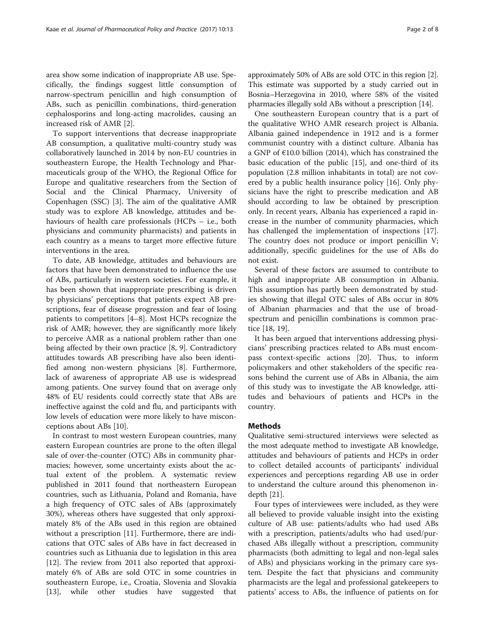area show some indication of inappropriate AB use. Specifically, the findings suggest little consumption of narrow-spectrum penicillin and high consumption of ABs, such as penicillin combinations, third-generation cephalosporins and long-acting macrolides, causing an increased risk of AMR [\[2](#page-7-0)].

To support interventions that decrease inappropriate AB consumption, a qualitative multi-country study was collaboratively launched in 2014 by non-EU countries in southeastern Europe, the Health Technology and Pharmaceuticals group of the WHO, the Regional Office for Europe and qualitative researchers from the Section of Social and the Clinical Pharmacy, University of Copenhagen (SSC) [\[3](#page-7-0)]. The aim of the qualitative AMR study was to explore AB knowledge, attitudes and behaviours of health care professionals (HCPs – i.e., both physicians and community pharmacists) and patients in each country as a means to target more effective future interventions in the area.

To date, AB knowledge, attitudes and behaviours are factors that have been demonstrated to influence the use of ABs, particularly in western societies. For example, it has been shown that inappropriate prescribing is driven by physicians' perceptions that patients expect AB prescriptions, fear of disease progression and fear of losing patients to competitors [\[4](#page-7-0)–[8](#page-7-0)]. Most HCPs recognize the risk of AMR; however, they are significantly more likely to perceive AMR as a national problem rather than one being affected by their own practice [\[8](#page-7-0), [9](#page-7-0)]. Contradictory attitudes towards AB prescribing have also been identified among non-western physicians [\[8\]](#page-7-0). Furthermore, lack of awareness of appropriate AB use is widespread among patients. One survey found that on average only 48% of EU residents could correctly state that ABs are ineffective against the cold and flu, and participants with low levels of education were more likely to have misconceptions about ABs [\[10](#page-7-0)].

In contrast to most western European countries, many eastern European countries are prone to the often illegal sale of over-the-counter (OTC) ABs in community pharmacies; however, some uncertainty exists about the actual extent of the problem. A systematic review published in 2011 found that northeastern European countries, such as Lithuania, Poland and Romania, have a high frequency of OTC sales of ABs (approximately 30%), whereas others have suggested that only approximately 8% of the ABs used in this region are obtained without a prescription [[11\]](#page-7-0). Furthermore, there are indications that OTC sales of ABs have in fact decreased in countries such as Lithuania due to legislation in this area [[12\]](#page-7-0). The review from 2011 also reported that approximately 6% of ABs are sold OTC in some countries in southeastern Europe, i.e., Croatia, Slovenia and Slovakia [[13\]](#page-7-0), while other studies have suggested that approximately 50% of ABs are sold OTC in this region [[2](#page-7-0)]. This estimate was supported by a study carried out in Bosnia–Herzegovina in 2010, where 58% of the visited pharmacies illegally sold ABs without a prescription [\[14](#page-7-0)].

One southeastern European country that is a part of the qualitative WHO AMR research project is Albania. Albania gained independence in 1912 and is a former communist country with a distinct culture. Albania has a GNP of  $E$ 10.0 billion (2014), which has constrained the basic education of the public [\[15](#page-7-0)], and one-third of its population (2.8 million inhabitants in total) are not covered by a public health insurance policy [[16\]](#page-7-0). Only physicians have the right to prescribe medication and AB should according to law be obtained by prescription only. In recent years, Albania has experienced a rapid increase in the number of community pharmacies, which has challenged the implementation of inspections [\[17](#page-7-0)]. The country does not produce or import penicillin V; additionally, specific guidelines for the use of ABs do not exist.

Several of these factors are assumed to contribute to high and inappropriate AB consumption in Albania. This assumption has partly been demonstrated by studies showing that illegal OTC sales of ABs occur in 80% of Albanian pharmacies and that the use of broadspectrum and penicillin combinations is common practice [\[18](#page-7-0), [19](#page-7-0)].

It has been argued that interventions addressing physicians' prescribing practices related to ABs must encompass context-specific actions [\[20\]](#page-7-0). Thus, to inform policymakers and other stakeholders of the specific reasons behind the current use of ABs in Albania, the aim of this study was to investigate the AB knowledge, attitudes and behaviours of patients and HCPs in the country.

## Methods

Qualitative semi-structured interviews were selected as the most adequate method to investigate AB knowledge, attitudes and behaviours of patients and HCPs in order to collect detailed accounts of participants' individual experiences and perceptions regarding AB use in order to understand the culture around this phenomenon indepth [\[21\]](#page-7-0).

Four types of interviewees were included, as they were all believed to provide valuable insight into the existing culture of AB use: patients/adults who had used ABs with a prescription, patients/adults who had used/purchased ABs illegally without a prescription, community pharmacists (both admitting to legal and non-legal sales of ABs) and physicians working in the primary care system. Despite the fact that physicians and community pharmacists are the legal and professional gatekeepers to patients' access to ABs, the influence of patients on for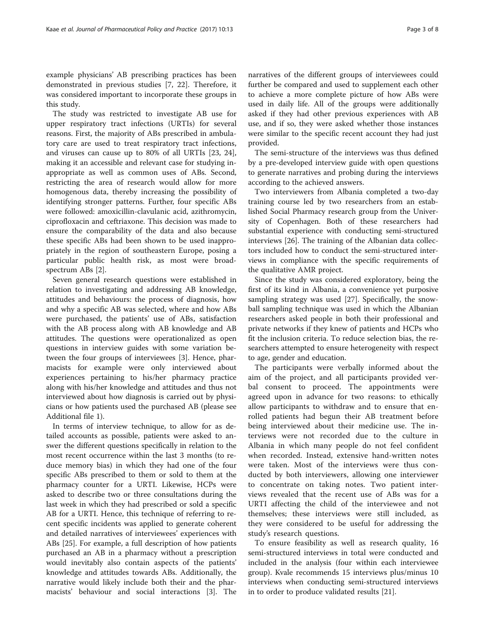example physicians' AB prescribing practices has been demonstrated in previous studies [[7, 22\]](#page-7-0). Therefore, it was considered important to incorporate these groups in this study.

The study was restricted to investigate AB use for upper respiratory tract infections (URTIs) for several reasons. First, the majority of ABs prescribed in ambulatory care are used to treat respiratory tract infections, and viruses can cause up to 80% of all URTIs [\[23](#page-7-0), [24](#page-7-0)], making it an accessible and relevant case for studying inappropriate as well as common uses of ABs. Second, restricting the area of research would allow for more homogenous data, thereby increasing the possibility of identifying stronger patterns. Further, four specific ABs were followed: amoxicillin-clavulanic acid, azithromycin, ciprofloxacin and ceftriaxone. This decision was made to ensure the comparability of the data and also because these specific ABs had been shown to be used inappropriately in the region of southeastern Europe, posing a particular public health risk, as most were broadspectrum ABs [[2](#page-7-0)].

Seven general research questions were established in relation to investigating and addressing AB knowledge, attitudes and behaviours: the process of diagnosis, how and why a specific AB was selected, where and how ABs were purchased, the patients' use of ABs, satisfaction with the AB process along with AB knowledge and AB attitudes. The questions were operationalized as open questions in interview guides with some variation between the four groups of interviewees [[3](#page-7-0)]. Hence, pharmacists for example were only interviewed about experiences pertaining to his/her pharmacy practice along with his/her knowledge and attitudes and thus not interviewed about how diagnosis is carried out by physicians or how patients used the purchased AB (please see Additional file [1](#page-6-0)).

In terms of interview technique, to allow for as detailed accounts as possible, patients were asked to answer the different questions specifically in relation to the most recent occurrence within the last 3 months (to reduce memory bias) in which they had one of the four specific ABs prescribed to them or sold to them at the pharmacy counter for a URTI. Likewise, HCPs were asked to describe two or three consultations during the last week in which they had prescribed or sold a specific AB for a URTI. Hence, this technique of referring to recent specific incidents was applied to generate coherent and detailed narratives of interviewees' experiences with ABs [[25](#page-7-0)]. For example, a full description of how patients purchased an AB in a pharmacy without a prescription would inevitably also contain aspects of the patients' knowledge and attitudes towards ABs. Additionally, the narrative would likely include both their and the pharmacists' behaviour and social interactions [[3](#page-7-0)]. The

narratives of the different groups of interviewees could further be compared and used to supplement each other to achieve a more complete picture of how ABs were used in daily life. All of the groups were additionally asked if they had other previous experiences with AB use, and if so, they were asked whether those instances were similar to the specific recent account they had just provided.

The semi-structure of the interviews was thus defined by a pre-developed interview guide with open questions to generate narratives and probing during the interviews according to the achieved answers.

Two interviewers from Albania completed a two-day training course led by two researchers from an established Social Pharmacy research group from the University of Copenhagen. Both of these researchers had substantial experience with conducting semi-structured interviews [[26](#page-7-0)]. The training of the Albanian data collectors included how to conduct the semi-structured interviews in compliance with the specific requirements of the qualitative AMR project.

Since the study was considered exploratory, being the first of its kind in Albania, a convenience yet purposive sampling strategy was used [\[27](#page-7-0)]. Specifically, the snowball sampling technique was used in which the Albanian researchers asked people in both their professional and private networks if they knew of patients and HCPs who fit the inclusion criteria. To reduce selection bias, the researchers attempted to ensure heterogeneity with respect to age, gender and education.

The participants were verbally informed about the aim of the project, and all participants provided verbal consent to proceed. The appointments were agreed upon in advance for two reasons: to ethically allow participants to withdraw and to ensure that enrolled patients had begun their AB treatment before being interviewed about their medicine use. The interviews were not recorded due to the culture in Albania in which many people do not feel confident when recorded. Instead, extensive hand-written notes were taken. Most of the interviews were thus conducted by both interviewers, allowing one interviewer to concentrate on taking notes. Two patient interviews revealed that the recent use of ABs was for a URTI affecting the child of the interviewee and not themselves; these interviews were still included, as they were considered to be useful for addressing the study's research questions.

To ensure feasibility as well as research quality, 16 semi-structured interviews in total were conducted and included in the analysis (four within each interviewee group). Kvale recommends 15 interviews plus/minus 10 interviews when conducting semi-structured interviews in to order to produce validated results [[21\]](#page-7-0).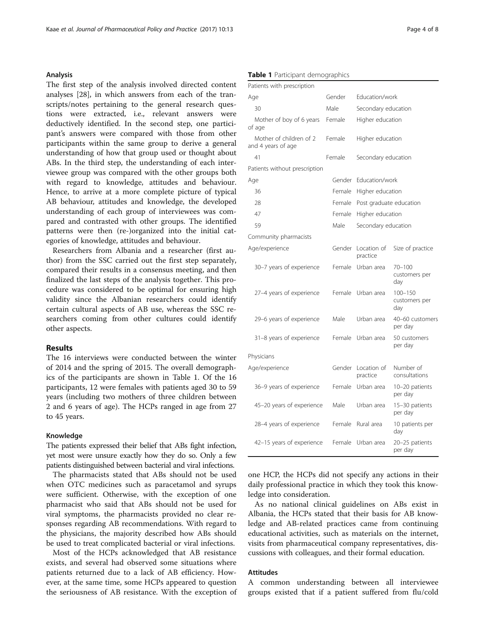## Analysis

The first step of the analysis involved directed content analyses [\[28](#page-7-0)], in which answers from each of the transcripts/notes pertaining to the general research questions were extracted, i.e., relevant answers were deductively identified. In the second step, one participant's answers were compared with those from other participants within the same group to derive a general understanding of how that group used or thought about ABs. In the third step, the understanding of each interviewee group was compared with the other groups both with regard to knowledge, attitudes and behaviour. Hence, to arrive at a more complete picture of typical AB behaviour, attitudes and knowledge, the developed understanding of each group of interviewees was compared and contrasted with other groups. The identified patterns were then (re-)organized into the initial categories of knowledge, attitudes and behaviour.

Researchers from Albania and a researcher (first author) from the SSC carried out the first step separately, compared their results in a consensus meeting, and then finalized the last steps of the analysis together. This procedure was considered to be optimal for ensuring high validity since the Albanian researchers could identify certain cultural aspects of AB use, whereas the SSC researchers coming from other cultures could identify other aspects.

## Results

The 16 interviews were conducted between the winter of 2014 and the spring of 2015. The overall demographics of the participants are shown in Table 1. Of the 16 participants, 12 were females with patients aged 30 to 59 years (including two mothers of three children between 2 and 6 years of age). The HCPs ranged in age from 27 to 45 years.

## Knowledge

The patients expressed their belief that ABs fight infection, yet most were unsure exactly how they do so. Only a few patients distinguished between bacterial and viral infections.

The pharmacists stated that ABs should not be used when OTC medicines such as paracetamol and syrups were sufficient. Otherwise, with the exception of one pharmacist who said that ABs should not be used for viral symptoms, the pharmacists provided no clear responses regarding AB recommendations. With regard to the physicians, the majority described how ABs should be used to treat complicated bacterial or viral infections.

Most of the HCPs acknowledged that AB resistance exists, and several had observed some situations where patients returned due to a lack of AB efficiency. However, at the same time, some HCPs appeared to question the seriousness of AB resistance. With the exception of

| Page 4 |  | Ωt |
|--------|--|----|
|--------|--|----|

#### Table 1 Participant demographics

| Patients with prescription                    |        |                         |                                     |
|-----------------------------------------------|--------|-------------------------|-------------------------------------|
| Age                                           | Gender | Education/work          |                                     |
| 30                                            | Male   | Secondary education     |                                     |
| Mother of boy of 6 years<br>of age            | Female | Higher education        |                                     |
| Mother of children of 2<br>and 4 years of age | Female | Higher education        |                                     |
| 41                                            | Female | Secondary education     |                                     |
| Patients without prescription                 |        |                         |                                     |
| Age                                           | Gender | Education/work          |                                     |
| 36                                            | Female | Higher education        |                                     |
| 28                                            | Female | Post graduate education |                                     |
| 47                                            | Female | Higher education        |                                     |
| 59                                            | Male   | Secondary education     |                                     |
| Community pharmacists                         |        |                         |                                     |
| Age/experience                                | Gender | Location of<br>practice | Size of practice                    |
| 30-7 years of experience                      | Female | Urban area              | $70 - 100$<br>customers per<br>day  |
| 27-4 years of experience                      | Female | Urban area              | $100 - 150$<br>customers per<br>day |
| 29-6 years of experience                      | Male   | Urban area              | 40-60 customers<br>per day          |
| 31-8 years of experience                      | Female | Urban area              | 50 customers<br>per day             |
| Physicians                                    |        |                         |                                     |
| Age/experience                                | Gender | Location of<br>practice | Number of<br>consultations          |
| 36-9 years of experience                      | Female | Urban area              | 10-20 patients<br>per day           |
| 45-20 years of experience                     | Male   | Urban area              | 15-30 patients<br>per day           |
| 28-4 years of experience                      | Female | Rural area              | 10 patients per<br>day              |
| 42-15 years of experience                     | Female | Urban area              | 20-25 patients<br>per day           |

one HCP, the HCPs did not specify any actions in their daily professional practice in which they took this knowledge into consideration.

As no national clinical guidelines on ABs exist in Albania, the HCPs stated that their basis for AB knowledge and AB-related practices came from continuing educational activities, such as materials on the internet, visits from pharmaceutical company representatives, discussions with colleagues, and their formal education.

## Attitudes

A common understanding between all interviewee groups existed that if a patient suffered from flu/cold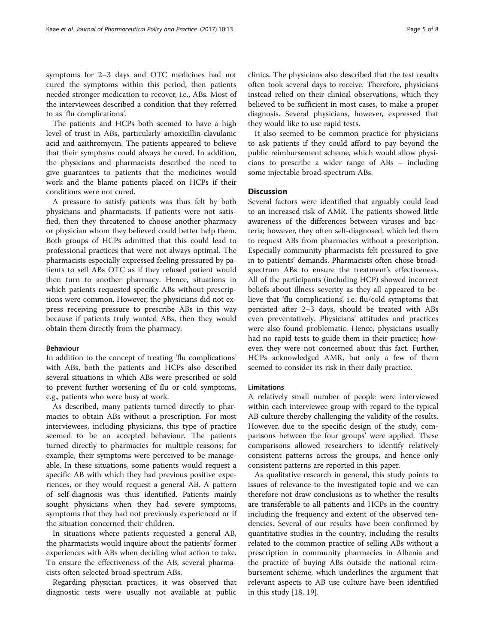symptoms for 2–3 days and OTC medicines had not cured the symptoms within this period, then patients needed stronger medication to recover, i.e., ABs. Most of the interviewees described a condition that they referred to as 'flu complications'.

The patients and HCPs both seemed to have a high level of trust in ABs, particularly amoxicillin-clavulanic acid and azithromycin. The patients appeared to believe that their symptoms could always be cured. In addition, the physicians and pharmacists described the need to give guarantees to patients that the medicines would work and the blame patients placed on HCPs if their conditions were not cured.

A pressure to satisfy patients was thus felt by both physicians and pharmacists. If patients were not satisfied, then they threatened to choose another pharmacy or physician whom they believed could better help them. Both groups of HCPs admitted that this could lead to professional practices that were not always optimal. The pharmacists especially expressed feeling pressured by patients to sell ABs OTC as if they refused patient would then turn to another pharmacy. Hence, situations in which patients requested specific ABs without prescriptions were common. However, the physicians did not express receiving pressure to prescribe ABs in this way because if patients truly wanted ABs, then they would obtain them directly from the pharmacy.

#### Behaviour

In addition to the concept of treating 'flu complications' with ABs, both the patients and HCPs also described several situations in which ABs were prescribed or sold to prevent further worsening of flu or cold symptoms, e.g., patients who were busy at work.

As described, many patients turned directly to pharmacies to obtain ABs without a prescription. For most interviewees, including physicians, this type of practice seemed to be an accepted behaviour. The patients turned directly to pharmacies for multiple reasons; for example, their symptoms were perceived to be manageable. In these situations, some patients would request a specific AB with which they had previous positive experiences, or they would request a general AB. A pattern of self-diagnosis was thus identified. Patients mainly sought physicians when they had severe symptoms, symptoms that they had not previously experienced or if the situation concerned their children.

In situations where patients requested a general AB, the pharmacists would inquire about the patients' former experiences with ABs when deciding what action to take. To ensure the effectiveness of the AB, several pharmacists often selected broad-spectrum ABs.

Regarding physician practices, it was observed that diagnostic tests were usually not available at public

clinics. The physicians also described that the test results often took several days to receive. Therefore, physicians instead relied on their clinical observations, which they believed to be sufficient in most cases, to make a proper diagnosis. Several physicians, however, expressed that they would like to use rapid tests.

It also seemed to be common practice for physicians to ask patients if they could afford to pay beyond the public reimbursement scheme, which would allow physicians to prescribe a wider range of ABs – including some injectable broad-spectrum ABs.

## **Discussion**

Several factors were identified that arguably could lead to an increased risk of AMR. The patients showed little awareness of the differences between viruses and bacteria; however, they often self-diagnosed, which led them to request ABs from pharmacies without a prescription. Especially community pharmacists felt pressured to give in to patients' demands. Pharmacists often chose broadspectrum ABs to ensure the treatment's effectiveness. All of the participants (including HCP) showed incorrect beliefs about illness severity as they all appeared to believe that 'flu complications', i.e. flu/cold symptoms that persisted after 2–3 days, should be treated with ABs even preventatively. Physicians' attitudes and practices were also found problematic. Hence, physicians usually had no rapid tests to guide them in their practice; however, they were not concerned about this fact. Further, HCPs acknowledged AMR, but only a few of them seemed to consider its risk in their daily practice.

## Limitations

A relatively small number of people were interviewed within each interviewee group with regard to the typical AB culture thereby challenging the validity of the results. However, due to the specific design of the study, comparisons between the four groups' were applied. These comparisons allowed researchers to identify relatively consistent patterns across the groups, and hence only consistent patterns are reported in this paper.

As qualitative research in general, this study points to issues of relevance to the investigated topic and we can therefore not draw conclusions as to whether the results are transferable to all patients and HCPs in the country including the frequency and extent of the observed tendencies. Several of our results have been confirmed by quantitative studies in the country, including the results related to the common practice of selling ABs without a prescription in community pharmacies in Albania and the practice of buying ABs outside the national reimbursement scheme, which underlines the argument that relevant aspects to AB use culture have been identified in this study [\[18](#page-7-0), [19](#page-7-0)].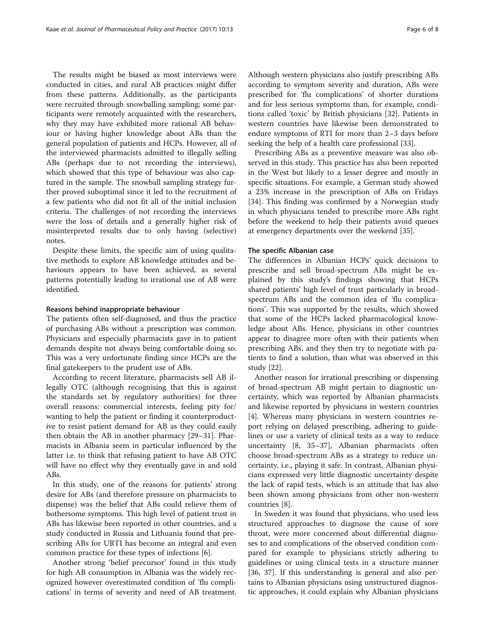The results might be biased as most interviews were conducted in cities, and rural AB practices might differ from these patterns. Additionally, as the participants were recruited through snowballing sampling; some participants were remotely acquainted with the researchers, why they may have exhibited more rational AB behaviour or having higher knowledge about ABs than the general population of patients and HCPs. However, all of the interviewed pharmacists admitted to illegally selling ABs (perhaps due to not recording the interviews), which showed that this type of behaviour was also captured in the sample. The snowball sampling strategy further proved suboptimal since it led to the recruitment of a few patients who did not fit all of the initial inclusion criteria. The challenges of not recording the interviews were the loss of details and a generally higher risk of misinterpreted results due to only having (selective) notes.

Despite these limits, the specific aim of using qualitative methods to explore AB knowledge attitudes and behaviours appears to have been achieved, as several patterns potentially leading to irrational use of AB were identified.

## Reasons behind inappropriate behaviour

The patients often self-diagnosed, and thus the practice of purchasing ABs without a prescription was common. Physicians and especially pharmacists gave in to patient demands despite not always being comfortable doing so. This was a very unfortunate finding since HCPs are the final gatekeepers to the prudent use of ABs.

According to recent literature, pharmacists sell AB illegally OTC (although recognising that this is against the standards set by regulatory authorities) for three overall reasons: commercial interests, feeling pity for/ wanting to help the patient or finding it counterproductive to resist patient demand for AB as they could easily then obtain the AB in another pharmacy [[29](#page-7-0)–[31](#page-7-0)]. Pharmacists in Albania seem in particular influenced by the latter i.e. to think that refusing patient to have AB OTC will have no effect why they eventually gave in and sold ABs.

In this study, one of the reasons for patients' strong desire for ABs (and therefore pressure on pharmacists to dispense) was the belief that ABs could relieve them of bothersome symptoms. This high level of patient trust in ABs has likewise been reported in other countries, and a study conducted in Russia and Lithuania found that prescribing ABs for URTI has become an integral and even common practice for these types of infections [[6](#page-7-0)].

Another strong 'belief precursor' found in this study for high AB consumption in Albania was the widely recognized however overestimated condition of 'flu complications' in terms of severity and need of AB treatment. Although western physicians also justify prescribing ABs according to symptom severity and duration, ABs were prescribed for 'flu complications' of shorter durations and for less serious symptoms than, for example, conditions called 'toxic' by British physicians [[32\]](#page-7-0). Patients in western countries have likewise been demonstrated to endure symptoms of RTI for more than 2–3 days before seeking the help of a health care professional [\[33](#page-7-0)].

Prescribing ABs as a preventive measure was also observed in this study. This practice has also been reported in the West but likely to a lesser degree and mostly in specific situations. For example, a German study showed a 23% increase in the prescription of ABs on Fridays [[34\]](#page-7-0). This finding was confirmed by a Norwegian study in which physicians tended to prescribe more ABs right before the weekend to help their patients avoid queues at emergency departments over the weekend [\[35](#page-7-0)].

### The specific Albanian case

The differences in Albanian HCPs' quick decisions to prescribe and sell broad-spectrum ABs might be explained by this study's findings showing that HCPs shared patients' high level of trust particularly in broadspectrum ABs and the common idea of 'flu complications'. This was supported by the results, which showed that some of the HCPs lacked pharmacological knowledge about ABs. Hence, physicians in other countries appear to disagree more often with their patients when prescribing ABs, and they then try to negotiate with patients to find a solution, than what was observed in this study [[22\]](#page-7-0).

Another reason for irrational prescribing or dispensing of broad-spectrum AB might pertain to diagnostic uncertainty, which was reported by Albanian pharmacists and likewise reported by physicians in western countries [[4\]](#page-7-0). Whereas many physicians in western countries report relying on delayed prescribing, adhering to guidelines or use a variety of clinical tests as a way to reduce uncertainty [\[8](#page-7-0), [35](#page-7-0)–[37\]](#page-7-0), Albanian pharmacists often choose broad-spectrum ABs as a strategy to reduce uncertainty, i.e., playing it safe. In contrast, Albanian physicians expressed very little diagnostic uncertainty despite the lack of rapid tests, which is an attitude that has also been shown among physicians from other non-western countries [[8\]](#page-7-0).

In Sweden it was found that physicians, who used less structured approaches to diagnose the cause of sore throat, were more concerned about differential diagnoses to and complications of the observed condition compared for example to physicians strictly adhering to guidelines or using clinical tests in a structure manner [[36, 37](#page-7-0)]. If this understanding is general and also pertains to Albanian physicians using unstructured diagnostic approaches, it could explain why Albanian physicians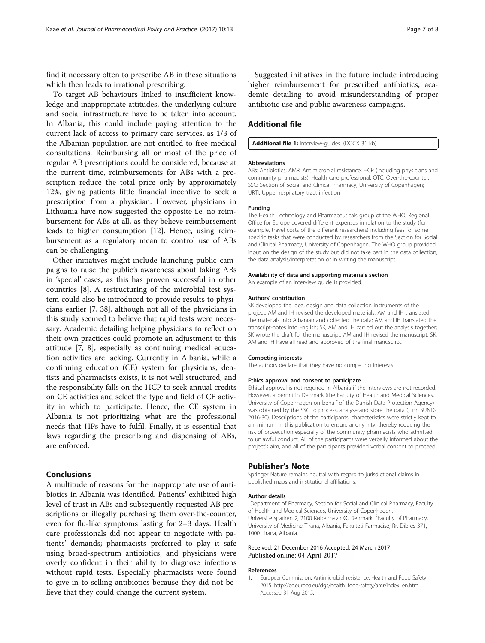<span id="page-6-0"></span>find it necessary often to prescribe AB in these situations which then leads to irrational prescribing.

To target AB behaviours linked to insufficient knowledge and inappropriate attitudes, the underlying culture and social infrastructure have to be taken into account. In Albania, this could include paying attention to the current lack of access to primary care services, as 1/3 of the Albanian population are not entitled to free medical consultations. Reimbursing all or most of the price of regular AB prescriptions could be considered, because at the current time, reimbursements for ABs with a prescription reduce the total price only by approximately 12%, giving patients little financial incentive to seek a prescription from a physician. However, physicians in Lithuania have now suggested the opposite i.e. no reimbursement for ABs at all, as they believe reimbursement leads to higher consumption [[12\]](#page-7-0). Hence, using reimbursement as a regulatory mean to control use of ABs can be challenging.

Other initiatives might include launching public campaigns to raise the public's awareness about taking ABs in 'special' cases, as this has proven successful in other countries [[8\]](#page-7-0). A restructuring of the microbial test system could also be introduced to provide results to physicians earlier [[7](#page-7-0), [38\]](#page-7-0), although not all of the physicians in this study seemed to believe that rapid tests were necessary. Academic detailing helping physicians to reflect on their own practices could promote an adjustment to this attitude [[7, 8](#page-7-0)], especially as continuing medical education activities are lacking. Currently in Albania, while a continuing education (CE) system for physicians, dentists and pharmacists exists, it is not well structured, and the responsibility falls on the HCP to seek annual credits on CE activities and select the type and field of CE activity in which to participate. Hence, the CE system in Albania is not prioritizing what are the professional needs that HPs have to fulfil. Finally, it is essential that laws regarding the prescribing and dispensing of ABs, are enforced.

## Conclusions

A multitude of reasons for the inappropriate use of antibiotics in Albania was identified. Patients' exhibited high level of trust in ABs and subsequently requested AB prescriptions or illegally purchasing them over-the-counter, even for flu-like symptoms lasting for 2–3 days. Health care professionals did not appear to negotiate with patients' demands; pharmacists preferred to play it safe using broad-spectrum antibiotics, and physicians were overly confident in their ability to diagnose infections without rapid tests. Especially pharmacists were found to give in to selling antibiotics because they did not believe that they could change the current system.

Suggested initiatives in the future include introducing higher reimbursement for prescribed antibiotics, academic detailing to avoid misunderstanding of proper antibiotic use and public awareness campaigns.

## Additional file

[Additional file 1:](dx.doi.org/10.1186/s40545-017-0102-1) Interview-quides. (DOCX 31 kb)

#### Abbreviations

ABs: Antibiotics; AMR: Antimicrobial resistance; HCP (including physicians and community pharmacists): Health care professional; OTC: Over-the-counter; SSC: Section of Social and Clinical Pharmacy, University of Copenhagen; URTI: Upper respiratory tract infection

#### Funding

The Health Technology and Pharmaceuticals group of the WHO, Regional Office for Europe covered different expenses in relation to the study (for example, travel costs of the different researchers) including fees for some specific tasks that were conducted by researchers from the Section for Social and Clinical Pharmacy, University of Copenhagen. The WHO group provided input on the design of the study but did not take part in the data collection, the data analysis/interpretation or in writing the manuscript.

#### Availability of data and supporting materials section

An example of an interview guide is provided.

#### Authors' contribution

SK developed the idea, design and data collection instruments of the project; AM and IH revised the developed materials, AM and IH translated the materials into Albanian and collected the data; AM and IH translated the transcript-notes into English; SK, AM and IH carried out the analysis together; SK wrote the draft for the manuscript; AM and IH revised the manuscript; SK, AM and IH have all read and approved of the final manuscript.

#### Competing interests

The authors declare that they have no competing interests.

#### Ethics approval and consent to participate

Ethical approval is not required in Albania if the interviews are not recorded. However, a permit in Denmark (the Faculty of Health and Medical Sciences, University of Copenhagen on behalf of the Danish Data Protection Agency) was obtained by the SSC to process, analyse and store the data (j. nr. SUND-2016-30). Descriptions of the participants' characteristics were strictly kept to a minimum in this publication to ensure anonymity, thereby reducing the risk of prosecution especially of the community pharmacists who admitted to unlawful conduct. All of the participants were verbally informed about the project's aim, and all of the participants provided verbal consent to proceed.

#### Publisher's Note

Springer Nature remains neutral with regard to jurisdictional claims in published maps and institutional affiliations.

### Author details

<sup>1</sup>Department of Pharmacy, Section for Social and Clinical Pharmacy, Faculty of Health and Medical Sciences, University of Copenhagen, Universitetsparken 2, 2100 København Ø, Denmark. <sup>2</sup>Faculty of Pharmacy, University of Medicine Tirana, Albania, Fakulteti Farmacise, Rr. Dibres 371, 1000 Tirana, Albania.

# Received: 21 December 2016 Accepted: 24 March 2017<br>Published online: 04 April 2017

#### References

EuropeanCommission. Antimicrobial resistance. Health and Food Safety; 2015. [http://ec.europa.eu/dgs/health\\_food-safety/amr/index\\_en.htm](http://ec.europa.eu/dgs/health_food-safety/amr/index_en.htm). Accessed 31 Aug 2015.